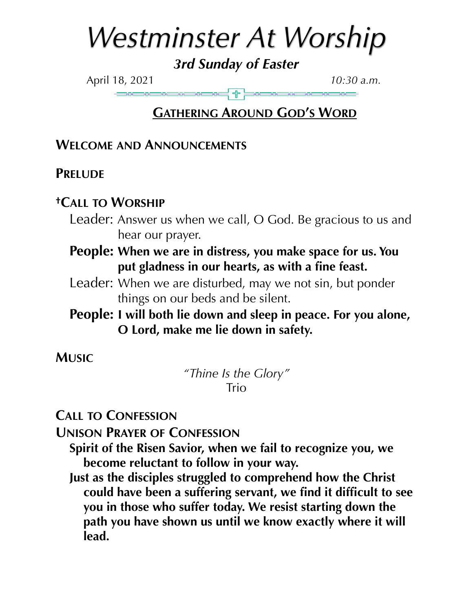# *Westminster At Worship*

*3rd Sunday of Easter* 

April 18, 2021 *10:30 a.m.*

# **GATHERING AROUND GOD'S WORD**

## **WELCOME AND ANNOUNCEMENTS**

## **PRELUDE**

## **†CALL TO WORSHIP**

- Leader: Answer us when we call, O God. Be gracious to us and hear our prayer.
- **People: When we are in distress, you make space for us. You put gladness in our hearts, as with a fine feast.**
- Leader: When we are disturbed, may we not sin, but ponder things on our beds and be silent.

## **People: I will both lie down and sleep in peace. For you alone, O Lord, make me lie down in safety.**

**MUSIC**

*"Thine Is the Glory"*  **Trio** 

**CALL TO CONFESSION**

**UNISON PRAYER OF CONFESSION**

**Spirit of the Risen Savior, when we fail to recognize you, we become reluctant to follow in your way.** 

**Just as the disciples struggled to comprehend how the Christ could have been a suffering servant, we find it difficult to see you in those who suffer today. We resist starting down the path you have shown us until we know exactly where it will lead.**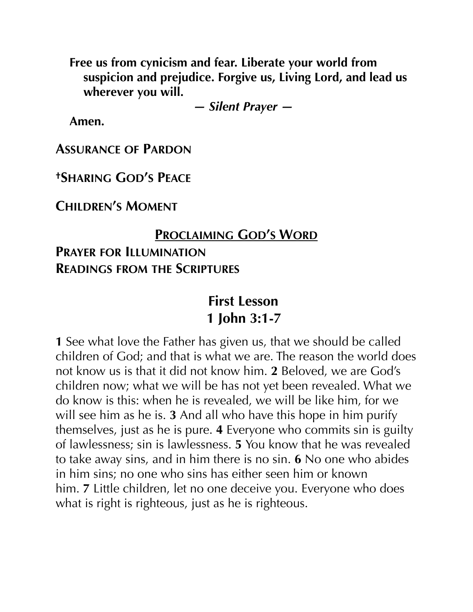**Free us from cynicism and fear. Liberate your world from suspicion and prejudice. Forgive us, Living Lord, and lead us wherever you will.** 

*— Silent Prayer —* 

**Amen.**

**ASSURANCE OF PARDON**

**†SHARING GOD'S PEACE**

**CHILDREN'S MOMENT**

## **PROCLAIMING GOD'S WORD**

# **PRAYER FOR ILLUMINATION READINGS FROM THE SCRIPTURES**

# **First Lesson 1 John 3:1-7**

**1** See what love the Father has given us, that we should be called children of God; and that is what we are. The reason the world does not know us is that it did not know him. **2** Beloved, we are God's children now; what we will be has not yet been revealed. What we do know is this: when he is revealed, we will be like him, for we will see him as he is. **3** And all who have this hope in him purify themselves, just as he is pure. **4** Everyone who commits sin is guilty of lawlessness; sin is lawlessness. **5** You know that he was revealed to take away sins, and in him there is no sin. **6** No one who abides in him sins; no one who sins has either seen him or known him. **7** Little children, let no one deceive you. Everyone who does what is right is righteous, just as he is righteous.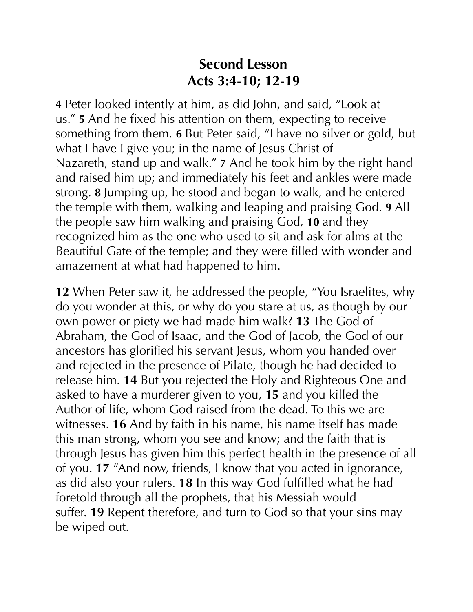# **Second Lesson Acts 3:4-10; 12-19**

**4** Peter looked intently at him, as did John, and said, "Look at us." **5** And he fixed his attention on them, expecting to receive something from them. **6** But Peter said, "I have no silver or gold, but what I have I give you; in the name of Jesus Christ of Nazareth, stand up and walk." **7** And he took him by the right hand and raised him up; and immediately his feet and ankles were made strong. **8** Jumping up, he stood and began to walk, and he entered the temple with them, walking and leaping and praising God. **9** All the people saw him walking and praising God, **10** and they recognized him as the one who used to sit and ask for alms at the Beautiful Gate of the temple; and they were filled with wonder and amazement at what had happened to him.

**12** When Peter saw it, he addressed the people, "You Israelites, why do you wonder at this, or why do you stare at us, as though by our own power or piety we had made him walk? **13** The God of Abraham, the God of Isaac, and the God of Jacob, the God of our ancestors has glorified his servant Jesus, whom you handed over and rejected in the presence of Pilate, though he had decided to release him. **14** But you rejected the Holy and Righteous One and asked to have a murderer given to you, **15** and you killed the Author of life, whom God raised from the dead. To this we are witnesses. **16** And by faith in his name, his name itself has made this man strong, whom you see and know; and the faith that is through Jesus has given him this perfect health in the presence of all of you. **17** "And now, friends, I know that you acted in ignorance, as did also your rulers. **18** In this way God fulfilled what he had foretold through all the prophets, that his Messiah would suffer. **19** Repent therefore, and turn to God so that your sins may be wiped out.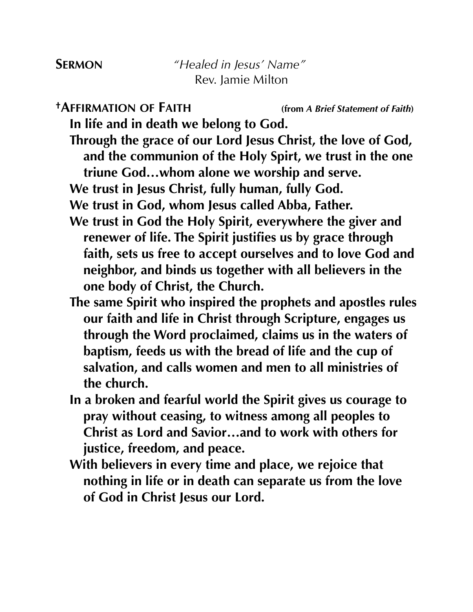**†AFFIRMATION OF FAITH (from** *A Brief Statement of Faith***)** 

**In life and in death we belong to God.** 

**Through the grace of our Lord Jesus Christ, the love of God, and the communion of the Holy Spirt, we trust in the one triune God…whom alone we worship and serve.** 

**We trust in Jesus Christ, fully human, fully God.** 

**We trust in God, whom Jesus called Abba, Father.** 

- **We trust in God the Holy Spirit, everywhere the giver and renewer of life. The Spirit justifies us by grace through faith, sets us free to accept ourselves and to love God and neighbor, and binds us together with all believers in the one body of Christ, the Church.**
- **The same Spirit who inspired the prophets and apostles rules our faith and life in Christ through Scripture, engages us through the Word proclaimed, claims us in the waters of baptism, feeds us with the bread of life and the cup of salvation, and calls women and men to all ministries of the church.**
- **In a broken and fearful world the Spirit gives us courage to pray without ceasing, to witness among all peoples to Christ as Lord and Savior…and to work with others for justice, freedom, and peace.**
- **With believers in every time and place, we rejoice that nothing in life or in death can separate us from the love of God in Christ Jesus our Lord.**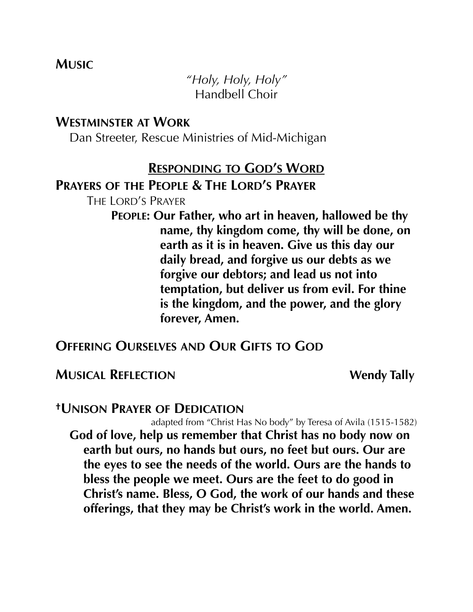## **MUSIC**

*"Holy, Holy, Holy"*  Handbell Choir

#### **WESTMINSTER AT WORK**

Dan Streeter, Rescue Ministries of Mid-Michigan

#### **RESPONDING TO GOD'S WORD**

#### **PRAYERS OF THE PEOPLE & THE LORD'S PRAYER**

THE LORD'S PRAYER

**PEOPLE: Our Father, who art in heaven, hallowed be thy name, thy kingdom come, thy will be done, on earth as it is in heaven. Give us this day our daily bread, and forgive us our debts as we forgive our debtors; and lead us not into temptation, but deliver us from evil. For thine is the kingdom, and the power, and the glory forever, Amen.** 

#### **OFFERING OURSELVES AND OUR GIFTS TO GOD**

#### **MUSICAL REFLECTION** Wendy Tally

#### **†UNISON PRAYER OF DEDICATION**

adapted from "Christ Has No body" by Teresa of Avila (1515-1582) **God of love, help us remember that Christ has no body now on earth but ours, no hands but ours, no feet but ours. Our are the eyes to see the needs of the world. Ours are the hands to bless the people we meet. Ours are the feet to do good in Christ's name. Bless, O God, the work of our hands and these offerings, that they may be Christ's work in the world. Amen.**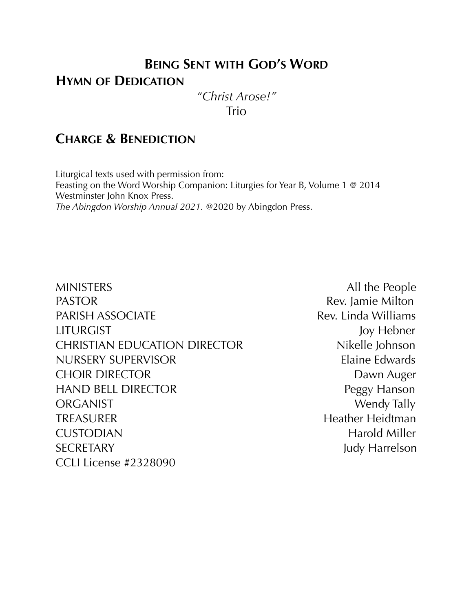## **BEING SENT WITH GOD'S WORD**

#### **HYMN OF DEDICATION**

*"Christ Arose!"*  Trio

## **CHARGE & BENEDICTION**

Liturgical texts used with permission from: Feasting on the Word Worship Companion: Liturgies for Year B, Volume 1 @ 2014 Westminster John Knox Press. *The Abingdon Worship Annual 2021.* @2020 by Abingdon Press.

MINISTERS All the People PASTOR **Rev.** Jamie Milton PARISH ASSOCIATE Rev. Linda Williams LITURGIST Joy Hebner CHRISTIAN EDUCATION DIRECTOR Nikelle Johnson NURSERY SUPERVISOR Elaine Edwards CHOIR DIRECTOR DAWN Auger HAND BELL DIRECTOR Peggy Hanson ORGANIST Wendy Tally TREASURER Heidtman Heather Heidtman CUSTODIAN Harold Miller SECRETARY Judy Harrelson CCLI License #2328090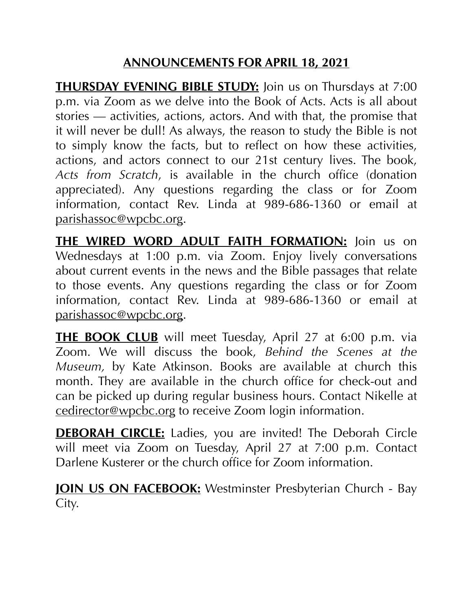## **ANNOUNCEMENTS FOR APRIL 18, 2021**

**THURSDAY EVENING BIBLE STUDY:** Join us on Thursdays at 7:00 p.m. via Zoom as we delve into the Book of Acts. Acts is all about stories — activities, actions, actors. And with that, the promise that it will never be dull! As always, the reason to study the Bible is not to simply know the facts, but to reflect on how these activities, actions, and actors connect to our 21st century lives. The book, *Acts from Scratch*, is available in the church office (donation appreciated). Any questions regarding the class or for Zoom information, contact Rev. Linda at 989-686-1360 or email at [parishassoc@wpcbc.org.](mailto:parishassoc@wpcbc.org)

**THE WIRED WORD ADULT FAITH FORMATION:** Join us on Wednesdays at 1:00 p.m. via Zoom. Enjoy lively conversations about current events in the news and the Bible passages that relate to those events. Any questions regarding the class or for Zoom information, contact Rev. Linda at 989-686-1360 or email at [parishassoc@wpcbc.org.](mailto:parishassoc@wpcbc.org)

**THE BOOK CLUB** will meet Tuesday, April 27 at 6:00 p.m. via Zoom. We will discuss the book, *Behind the Scenes at the Museum,* by Kate Atkinson. Books are available at church this month. They are available in the church office for check-out and can be picked up during regular business hours. Contact Nikelle at [cedirector@wpcbc.org](mailto:cedirector@wpcbc.org) to receive Zoom login information.

**DEBORAH CIRCLE:** Ladies, you are invited! The Deborah Circle will meet via Zoom on Tuesday, April 27 at 7:00 p.m. Contact Darlene Kusterer or the church office for Zoom information.

**JOIN US ON FACEBOOK:** Westminster Presbyterian Church - Bay City.